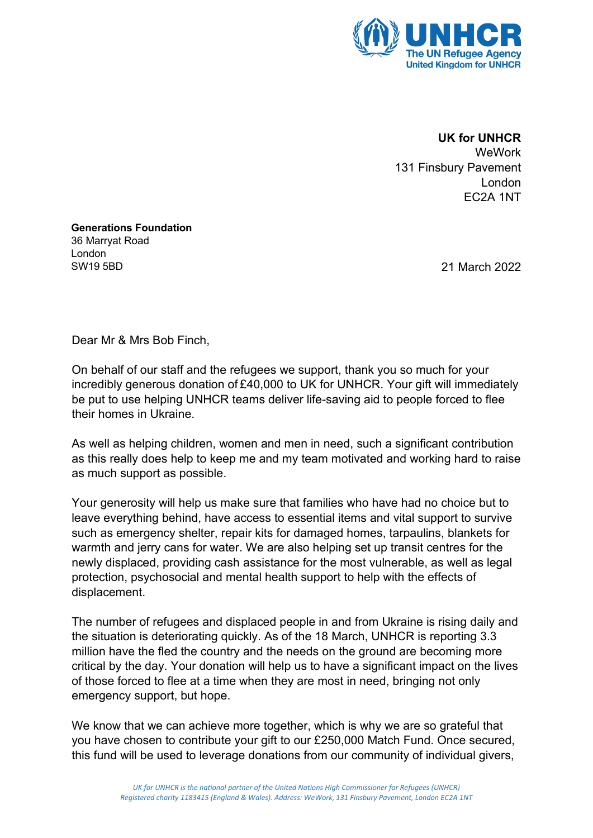

 **UK for UNHCR WeWork** 

131 Finsbury Pavement London EC2A 1NT

**Generations Foundation** 36 Marryat Road London SW19 5BD

21 March 2022

Dear Mr & Mrs Bob Finch,

On behalf of our staff and the refugees we support, thank you so much for your incredibly generous donation of £40,000 to UK for UNHCR. Your gift will immediately be put to use helping UNHCR teams deliver life-saving aid to people forced to flee their homes in Ukraine.

As well as helping children, women and men in need, such a significant contribution as this really does help to keep me and my team motivated and working hard to raise as much support as possible.

Your generosity will help us make sure that families who have had no choice but to leave everything behind, have access to essential items and vital support to survive such as emergency shelter, repair kits for damaged homes, tarpaulins, blankets for warmth and jerry cans for water. We are also helping set up transit centres for the newly displaced, providing cash assistance for the most vulnerable, as well as legal protection, psychosocial and mental health support to help with the effects of displacement.

The number of refugees and displaced people in and from Ukraine is rising daily and the situation is deteriorating quickly. As of the 18 March, UNHCR is reporting 3.3 million have the fled the country and the needs on the ground are becoming more critical by the day. Your donation will help us to have a significant impact on the lives of those forced to flee at a time when they are most in need, bringing not only emergency support, but hope.

We know that we can achieve more together, which is why we are so grateful that you have chosen to contribute your gift to our £250,000 Match Fund. Once secured, this fund will be used to leverage donations from our community of individual givers,